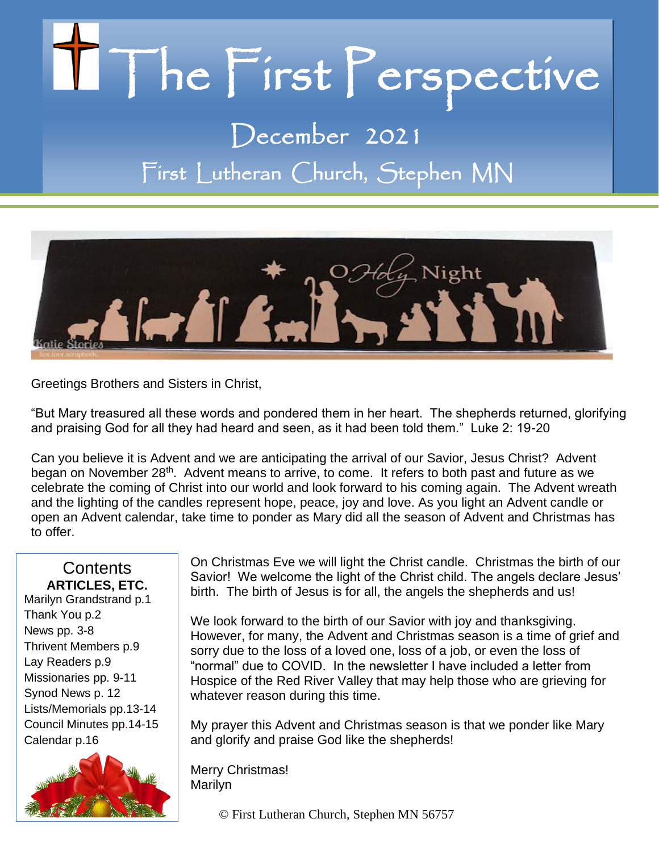# Il The First Perspective

December 2021 First Lutheran Church, Stephen MN



Greetings Brothers and Sisters in Christ,

"But Mary treasured all these words and pondered them in her heart. The shepherds returned, glorifying and praising God for all they had heard and seen, as it had been told them." Luke 2: 19-20

Can you believe it is Advent and we are anticipating the arrival of our Savior, Jesus Christ? Advent began on November 28<sup>th</sup>. Advent means to arrive, to come. It refers to both past and future as we celebrate the coming of Christ into our world and look forward to his coming again. The Advent wreath and the lighting of the candles represent hope, peace, joy and love. As you light an Advent candle or open an Advent calendar, take time to ponder as Mary did all the season of Advent and Christmas has to offer.

# **Contents ARTICLES, ETC.**

Marilyn Grandstrand p.1 Thank You p.2 News pp. 3-8 Thrivent Members p.9 Lay Readers p.9 Missionaries pp. 9-11 Synod News p. 12 Lists/Memorials pp.13-14 Council Minutes pp.14-15 Calendar p.16



On Christmas Eve we will light the Christ candle. Christmas the birth of our Savior! We welcome the light of the Christ child. The angels declare Jesus' birth. The birth of Jesus is for all, the angels the shepherds and us!

We look forward to the birth of our Savior with joy and thanksgiving. However, for many, the Advent and Christmas season is a time of grief and sorry due to the loss of a loved one, loss of a job, or even the loss of "normal" due to COVID. In the newsletter I have included a letter from Hospice of the Red River Valley that may help those who are grieving for whatever reason during this time.

My prayer this Advent and Christmas season is that we ponder like Mary and glorify and praise God like the shepherds!

Merry Christmas! Marilyn

© First Lutheran Church, Stephen MN 56757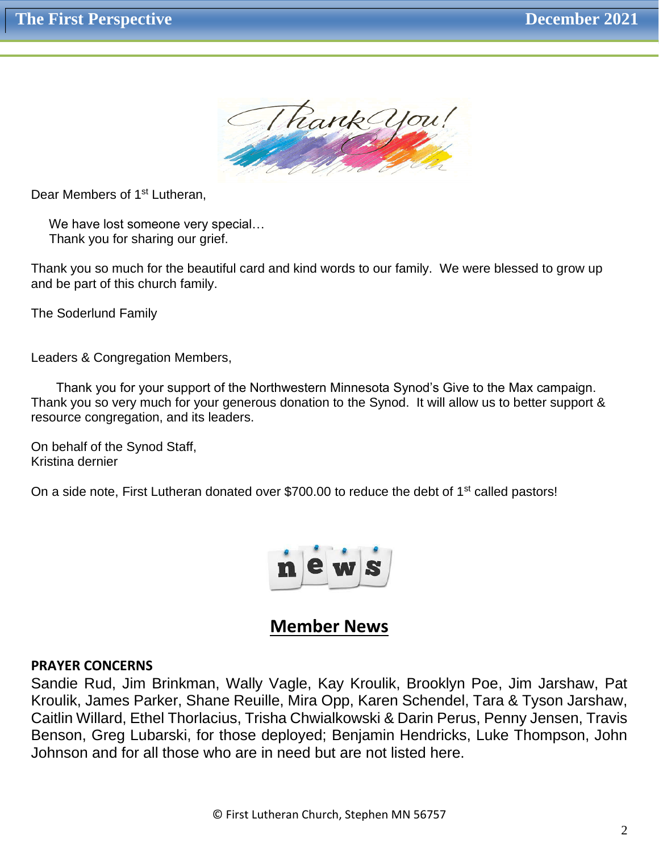

Dear Members of 1<sup>st</sup> Lutheran,

We have lost someone very special... Thank you for sharing our grief.

Thank you so much for the beautiful card and kind words to our family. We were blessed to grow up and be part of this church family.

The Soderlund Family

Leaders & Congregation Members,

 Thank you for your support of the Northwestern Minnesota Synod's Give to the Max campaign. Thank you so very much for your generous donation to the Synod. It will allow us to better support & resource congregation, and its leaders.

On behalf of the Synod Staff, Kristina dernier

On a side note, First Lutheran donated over \$700.00 to reduce the debt of 1<sup>st</sup> called pastors!



# **Member News**

#### **PRAYER CONCERNS**

Sandie Rud, Jim Brinkman, Wally Vagle, Kay Kroulik, Brooklyn Poe, Jim Jarshaw, Pat Kroulik, James Parker, Shane Reuille, Mira Opp, Karen Schendel, Tara & Tyson Jarshaw, Caitlin Willard, Ethel Thorlacius, Trisha Chwialkowski & Darin Perus, Penny Jensen, Travis Benson, Greg Lubarski, for those deployed; Benjamin Hendricks, Luke Thompson, John Johnson and for all those who are in need but are not listed here.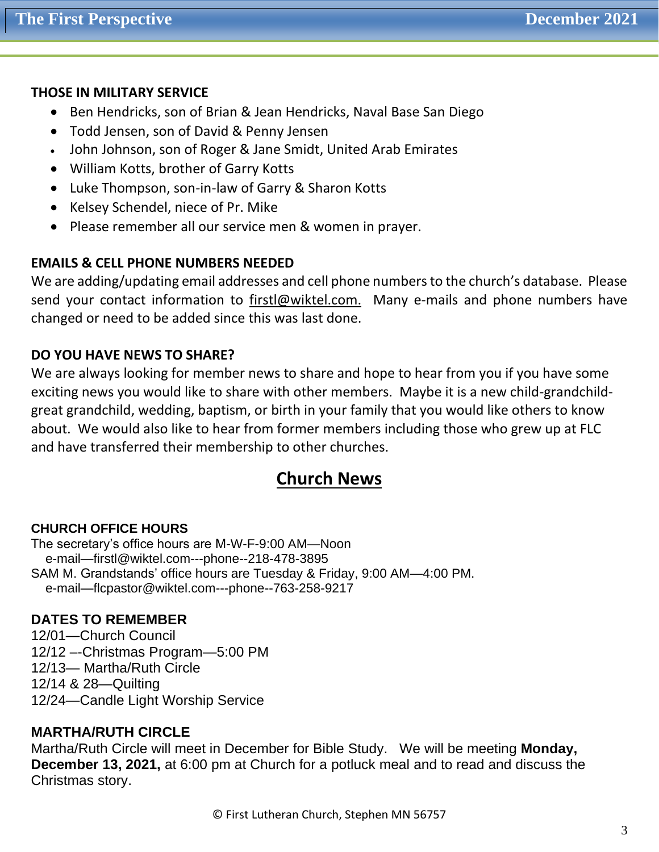# **THOSE IN MILITARY SERVICE**

- Ben Hendricks, son of Brian & Jean Hendricks, Naval Base San Diego
- Todd Jensen, son of David & Penny Jensen
- John Johnson, son of Roger & Jane Smidt, United Arab Emirates
- William Kotts, brother of Garry Kotts
- Luke Thompson, son-in-law of Garry & Sharon Kotts
- Kelsey Schendel, niece of Pr. Mike
- Please remember all our service men & women in prayer.

# **EMAILS & CELL PHONE NUMBERS NEEDED**

We are adding/updating email addresses and cell phone numbers to the church's database. Please send your contact information to [firstl@wiktel.com.](mailto:firstl@wiktel.com) Many e-mails and phone numbers have changed or need to be added since this was last done.

# **DO YOU HAVE NEWS TO SHARE?**

We are always looking for member news to share and hope to hear from you if you have some exciting news you would like to share with other members. Maybe it is a new child-grandchildgreat grandchild, wedding, baptism, or birth in your family that you would like others to know about. We would also like to hear from former members including those who grew up at FLC and have transferred their membership to other churches.

# **Church News**

## **CHURCH OFFICE HOURS**

The secretary's office hours are M-W-F-9:00 AM—Noon e-mail—firstl@wiktel.com---phone--218-478-3895 SAM M. Grandstands' office hours are Tuesday & Friday, 9:00 AM—4:00 PM. e-mail—flcpastor@wiktel.com---phone--763-258-9217

## **DATES TO REMEMBER**

12/01—Church Council 12/12 –-Christmas Program—5:00 PM 12/13— Martha/Ruth Circle 12/14 & 28—Quilting 12/24—Candle Light Worship Service

## **MARTHA/RUTH CIRCLE**

Martha/Ruth Circle will meet in December for Bible Study. We will be meeting **Monday, December 13, 2021,** at 6:00 pm at Church for a potluck meal and to read and discuss the Christmas story.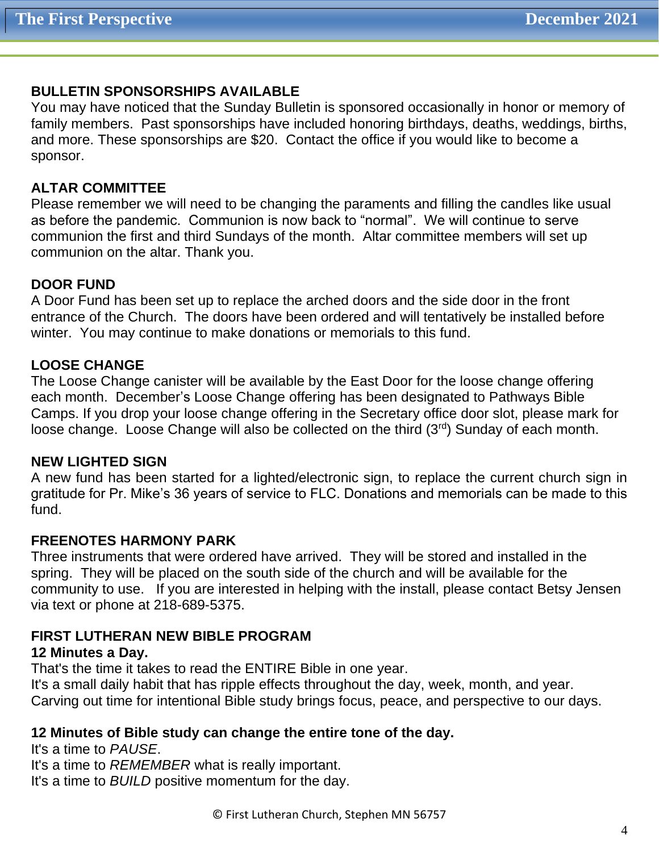# **BULLETIN SPONSORSHIPS AVAILABLE**

You may have noticed that the Sunday Bulletin is sponsored occasionally in honor or memory of family members. Past sponsorships have included honoring birthdays, deaths, weddings, births, and more. These sponsorships are \$20. Contact the office if you would like to become a sponsor.

# **ALTAR COMMITTEE**

Please remember we will need to be changing the paraments and filling the candles like usual as before the pandemic. Communion is now back to "normal". We will continue to serve communion the first and third Sundays of the month. Altar committee members will set up communion on the altar. Thank you.

# **DOOR FUND**

A Door Fund has been set up to replace the arched doors and the side door in the front entrance of the Church. The doors have been ordered and will tentatively be installed before winter. You may continue to make donations or memorials to this fund.

# **LOOSE CHANGE**

The Loose Change canister will be available by the East Door for the loose change offering each month. December's Loose Change offering has been designated to Pathways Bible Camps. If you drop your loose change offering in the Secretary office door slot, please mark for loose change. Loose Change will also be collected on the third (3rd) Sunday of each month.

## **NEW LIGHTED SIGN**

A new fund has been started for a lighted/electronic sign, to replace the current church sign in gratitude for Pr. Mike's 36 years of service to FLC. Donations and memorials can be made to this fund.

## **FREENOTES HARMONY PARK**

Three instruments that were ordered have arrived. They will be stored and installed in the spring. They will be placed on the south side of the church and will be available for the community to use. If you are interested in helping with the install, please contact Betsy Jensen via text or phone at 218-689-5375.

# **FIRST LUTHERAN NEW BIBLE PROGRAM**

# **12 Minutes a Day.**

That's the time it takes to read the ENTIRE Bible in one year. It's a small daily habit that has ripple effects throughout the day, week, month, and year. Carving out time for intentional Bible study brings focus, peace, and perspective to our days.

# **12 Minutes of Bible study can change the entire tone of the day.**

It's a time to *PAUSE*. It's a time to *REMEMBER* what is really important. It's a time to *BUILD* positive momentum for the day.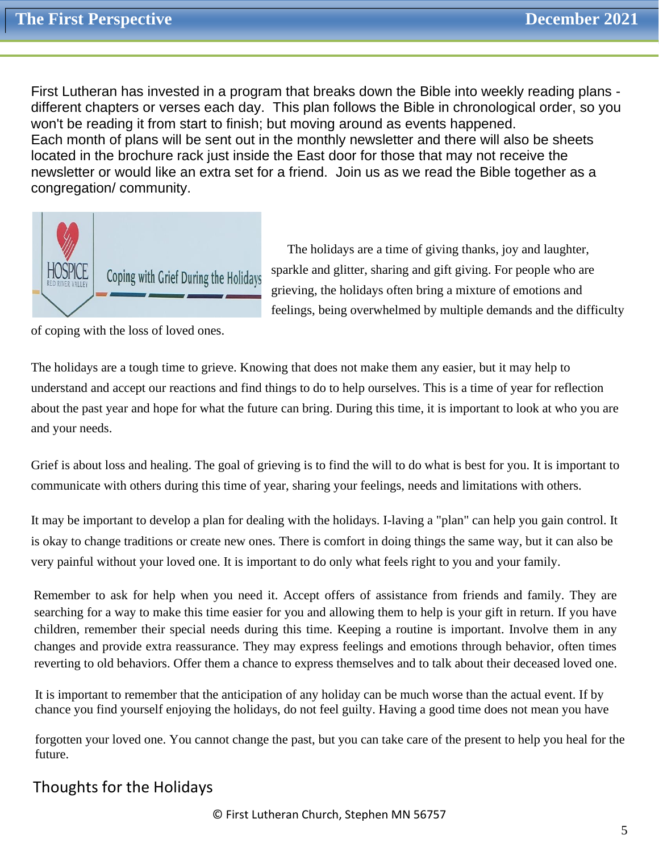First Lutheran has invested in a program that breaks down the Bible into weekly reading plans different chapters or verses each day. This plan follows the Bible in chronological order, so you won't be reading it from start to finish; but moving around as events happened. Each month of plans will be sent out in the monthly newsletter and there will also be sheets located in the brochure rack just inside the East door for those that may not receive the newsletter or would like an extra set for a friend. Join us as we read the Bible together as a congregation/ community.



 The holidays are a time of giving thanks, joy and laughter, sparkle and glitter, sharing and gift giving. For people who are grieving, the holidays often bring a mixture of emotions and feelings, being overwhelmed by multiple demands and the difficulty

of coping with the loss of loved ones.

The holidays are a tough time to grieve. Knowing that does not make them any easier, but it may help to understand and accept our reactions and find things to do to help ourselves. This is a time of year for reflection about the past year and hope for what the future can bring. During this time, it is important to look at who you are and your needs.

Grief is about loss and healing. The goal of grieving is to find the will to do what is best for you. It is important to communicate with others during this time of year, sharing your feelings, needs and limitations with others.

It may be important to develop a plan for dealing with the holidays. I-laving a "plan" can help you gain control. It is okay to change traditions or create new ones. There is comfort in doing things the same way, but it can also be very painful without your loved one. It is important to do only what feels right to you and your family.

Remember to ask for help when you need it. Accept offers of assistance from friends and family. They are searching for a way to make this time easier for you and allowing them to help is your gift in return. If you have children, remember their special needs during this time. Keeping a routine is important. Involve them in any changes and provide extra reassurance. They may express feelings and emotions through behavior, often times reverting to old behaviors. Offer them a chance to express themselves and to talk about their deceased loved one.

It is important to remember that the anticipation of any holiday can be much worse than the actual event. If by chance you find yourself enjoying the holidays, do not feel guilty. Having a good time does not mean you have

forgotten your loved one. You cannot change the past, but you can take care of the present to help you heal for the future.

# Thoughts for the Holidays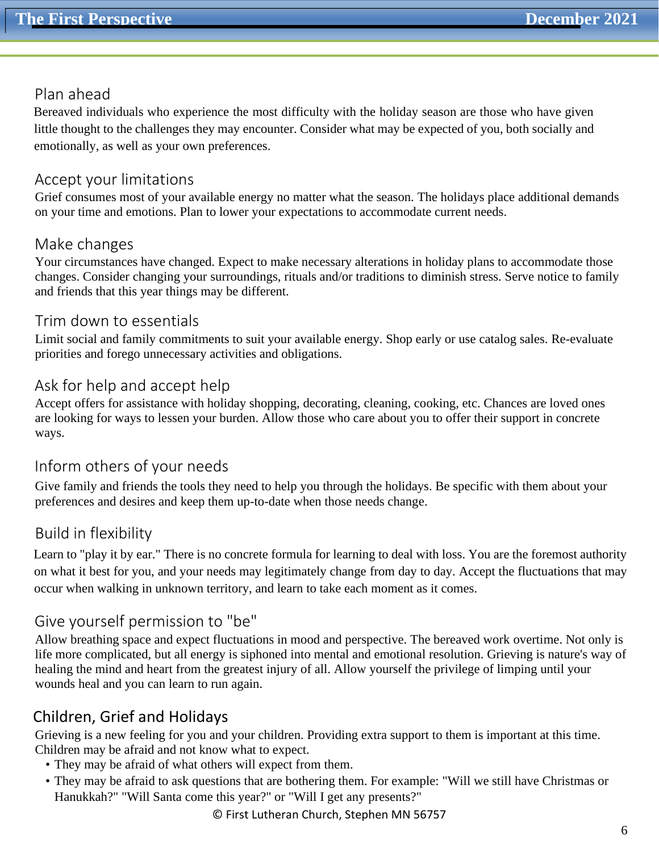# Plan ahead

Bereaved individuals who experience the most difficulty with the holiday season are those who have given little thought to the challenges they may encounter. Consider what may be expected of you, both socially and emotionally, as well as your own preferences.

# Accept your limitations

Grief consumes most of your available energy no matter what the season. The holidays place additional demands on your time and emotions. Plan to lower your expectations to accommodate current needs.

# Make changes

Your circumstances have changed. Expect to make necessary alterations in holiday plans to accommodate those changes. Consider changing your surroundings, rituals and/or traditions to diminish stress. Serve notice to family and friends that this year things may be different.

# Trim down to essentials

Limit social and family commitments to suit your available energy. Shop early or use catalog sales. Re-evaluate priorities and forego unnecessary activities and obligations.

# Ask for help and accept help

Accept offers for assistance with holiday shopping, decorating, cleaning, cooking, etc. Chances are loved ones are looking for ways to lessen your burden. Allow those who care about you to offer their support in concrete ways.

# Inform others of your needs

Give family and friends the tools they need to help you through the holidays. Be specific with them about your preferences and desires and keep them up-to-date when those needs change.

# Build in flexibility

Learn to "play it by ear." There is no concrete formula for learning to deal with loss. You are the foremost authority on what it best for you, and your needs may legitimately change from day to day. Accept the fluctuations that may occur when walking in unknown territory, and learn to take each moment as it comes.

# Give yourself permission to "be"

Allow breathing space and expect fluctuations in mood and perspective. The bereaved work overtime. Not only is life more complicated, but all energy is siphoned into mental and emotional resolution. Grieving is nature's way of healing the mind and heart from the greatest injury of all. Allow yourself the privilege of limping until your wounds heal and you can learn to run again.

# Children, Grief and Holidays

Grieving is a new feeling for you and your children. Providing extra support to them is important at this time. Children may be afraid and not know what to expect.

- They may be afraid of what others will expect from them.
- They may be afraid to ask questions that are bothering them. For example: "Will we still have Christmas or Hanukkah?" "Will Santa come this year?" or "Will I get any presents?"

© First Lutheran Church, Stephen MN 56757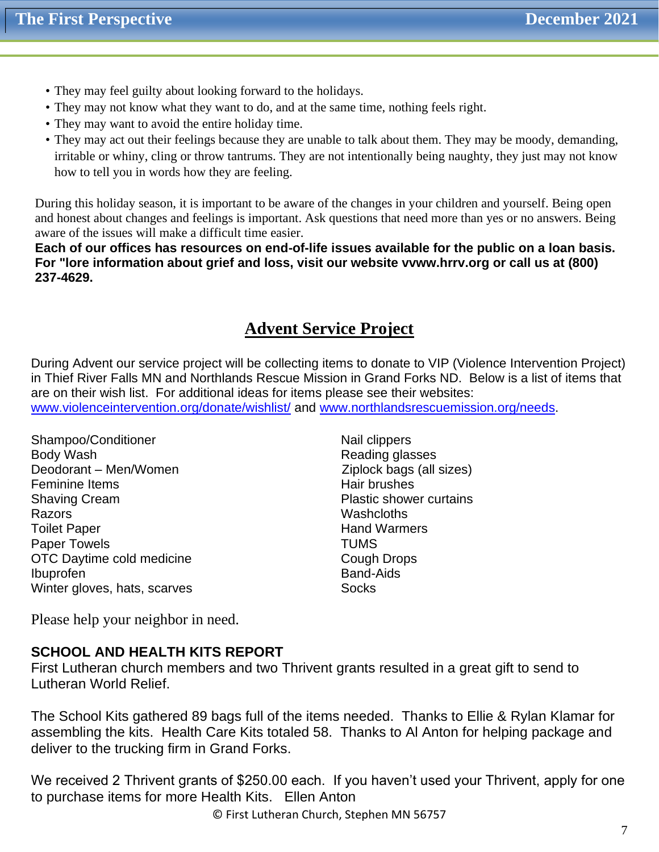- They may feel guilty about looking forward to the holidays.
- They may not know what they want to do, and at the same time, nothing feels right.
- They may want to avoid the entire holiday time.
- They may act out their feelings because they are unable to talk about them. They may be moody, demanding, irritable or whiny, cling or throw tantrums. They are not intentionally being naughty, they just may not know how to tell you in words how they are feeling.

During this holiday season, it is important to be aware of the changes in your children and yourself. Being open and honest about changes and feelings is important. Ask questions that need more than yes or no answers. Being aware of the issues will make a difficult time easier.

**Each of our offices has resources on end-of-life issues available for the public on a loan basis. For "lore information about grief and loss, visit our website vvww.hrrv.org or call us at (800) 237-4629.**

# **Advent Service Project**

During Advent our service project will be collecting items to donate to VIP (Violence Intervention Project) in Thief River Falls MN and Northlands Rescue Mission in Grand Forks ND. Below is a list of items that are on their wish list. For additional ideas for items please see their websites:

[www.violenceintervention.org/donate/wishlist/](http://www.violenceintervention.org/donate/wishlist/) and [www.northlandsrescuemission.org/needs.](http://www.northlandsrescuemission.org/needs)

- Shampoo/Conditioner Nail clippers Body Wash **Body Wash**<br>Deodorant – Men/Women **Reading glasses** Ziplock bags (all sizes) Deodorant – Men/Women Feminine Items **Hair brushes** Hair brushes Shaving Cream **Plastic shower curtains** Razors **Manual Community Community** Community Community Community Community Community Community Community Community Toilet Paper **Hand Warmers Hand Warmers** Paper Towels **TUMS** OTC Daytime cold medicine Cough Drops Ibuprofen Band-Aids Winter gloves, hats, scarves Socks
	-

Please help your neighbor in need.

## **SCHOOL AND HEALTH KITS REPORT**

First Lutheran church members and two Thrivent grants resulted in a great gift to send to Lutheran World Relief.

The School Kits gathered 89 bags full of the items needed. Thanks to Ellie & Rylan Klamar for assembling the kits. Health Care Kits totaled 58. Thanks to Al Anton for helping package and deliver to the trucking firm in Grand Forks.

We received 2 Thrivent grants of \$250.00 each. If you haven't used your Thrivent, apply for one to purchase items for more Health Kits. Ellen Anton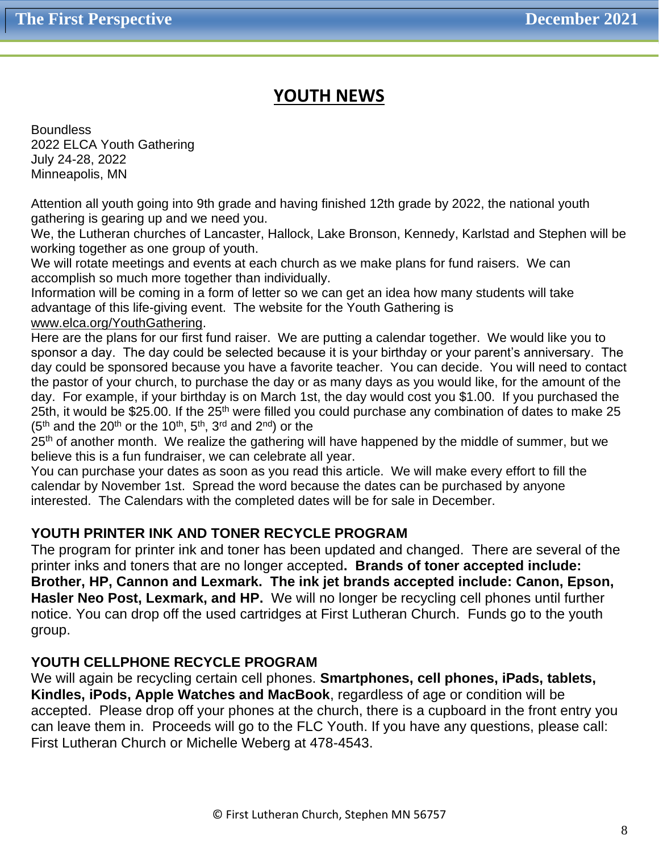# **YOUTH NEWS**

**Boundless** 2022 ELCA Youth Gathering July 24-28, 2022 Minneapolis, MN

Attention all youth going into 9th grade and having finished 12th grade by 2022, the national youth gathering is gearing up and we need you.

We, the Lutheran churches of Lancaster, Hallock, Lake Bronson, Kennedy, Karlstad and Stephen will be working together as one group of youth.

We will rotate meetings and events at each church as we make plans for fund raisers. We can accomplish so much more together than individually.

Information will be coming in a form of letter so we can get an idea how many students will take advantage of this life-giving event. The website for the Youth Gathering is

#### [www.elca.org/YouthGathering.](http://www.elca.org/YouthGathering)

Here are the plans for our first fund raiser. We are putting a calendar together. We would like you to sponsor a day. The day could be selected because it is your birthday or your parent's anniversary. The day could be sponsored because you have a favorite teacher. You can decide. You will need to contact the pastor of your church, to purchase the day or as many days as you would like, for the amount of the day. For example, if your birthday is on March 1st, the day would cost you \$1.00. If you purchased the 25th, it would be \$25.00. If the 25<sup>th</sup> were filled you could purchase any combination of dates to make 25  $(5<sup>th</sup>$  and the 20<sup>th</sup> or the 10<sup>th</sup>, 5<sup>th</sup>, 3<sup>rd</sup> and 2<sup>nd</sup>) or the

25<sup>th</sup> of another month. We realize the gathering will have happened by the middle of summer, but we believe this is a fun fundraiser, we can celebrate all year.

You can purchase your dates as soon as you read this article. We will make every effort to fill the calendar by November 1st. Spread the word because the dates can be purchased by anyone interested. The Calendars with the completed dates will be for sale in December.

# **YOUTH PRINTER INK AND TONER RECYCLE PROGRAM**

The program for printer ink and toner has been updated and changed. There are several of the printer inks and toners that are no longer accepted**. Brands of toner accepted include: Brother, HP, Cannon and Lexmark. The ink jet brands accepted include: Canon, Epson, Hasler Neo Post, Lexmark, and HP.** We will no longer be recycling cell phones until further notice. You can drop off the used cartridges at First Lutheran Church. Funds go to the youth group.

## **YOUTH CELLPHONE RECYCLE PROGRAM**

We will again be recycling certain cell phones. **Smartphones, cell phones, iPads, tablets, Kindles, iPods, Apple Watches and MacBook**, regardless of age or condition will be accepted. Please drop off your phones at the church, there is a cupboard in the front entry you can leave them in. Proceeds will go to the FLC Youth. If you have any questions, please call: First Lutheran Church or Michelle Weberg at 478-4543.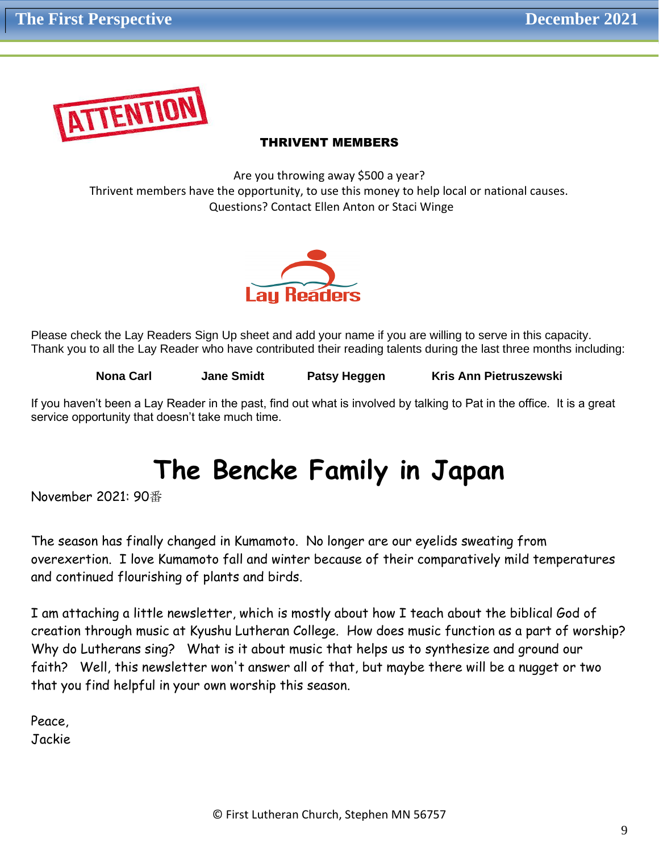

#### THRIVENT MEMBERS

Are you throwing away \$500 a year? Thrivent members have the opportunity, to use this money to help local or national causes. Questions? Contact Ellen Anton or Staci Winge



Please check the Lay Readers Sign Up sheet and add your name if you are willing to serve in this capacity. Thank you to all the Lay Reader who have contributed their reading talents during the last three months including:

**Nona Carl Carl Annual Smidt Patsy Heggen Kris Ann Pietruszewski** 

If you haven't been a Lay Reader in the past, find out what is involved by talking to Pat in the office. It is a great service opportunity that doesn't take much time.

# **The Bencke Family in Japan**

November 2021: 90番

The season has finally changed in Kumamoto. No longer are our eyelids sweating from overexertion. I love Kumamoto fall and winter because of their comparatively mild temperatures and continued flourishing of plants and birds.

I am attaching a little newsletter, which is mostly about how I teach about the biblical God of creation through music at Kyushu Lutheran College. How does music function as a part of worship? Why do Lutherans sing? What is it about music that helps us to synthesize and ground our faith? Well, this newsletter won't answer all of that, but maybe there will be a nugget or two that you find helpful in your own worship this season.

Peace, Jackie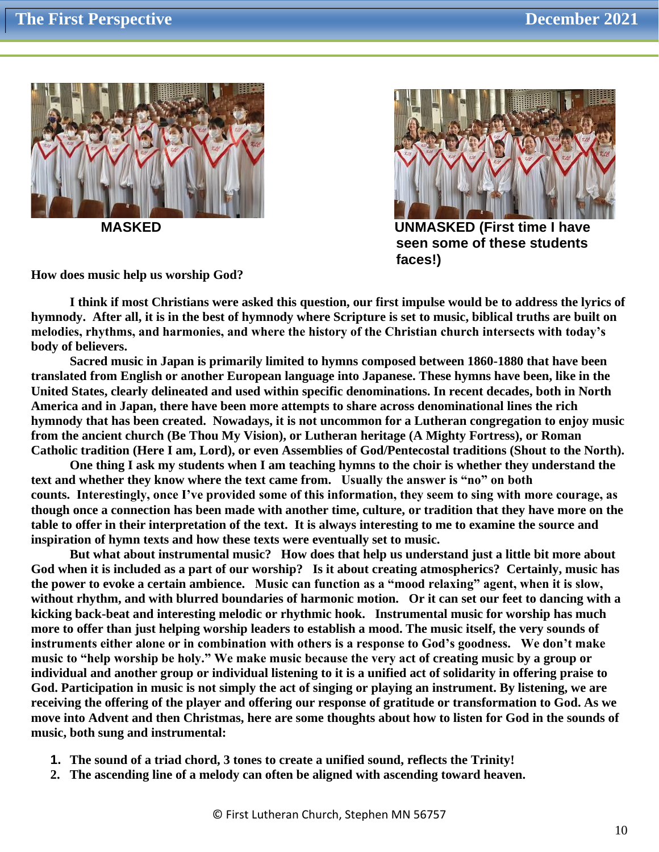



 **MASKED UNMASKED (First time I have seen some of these students faces!)**

**How does music help us worship God?**

**I think if most Christians were asked this question, our first impulse would be to address the lyrics of hymnody. After all, it is in the best of hymnody where Scripture is set to music, biblical truths are built on melodies, rhythms, and harmonies, and where the history of the Christian church intersects with today's body of believers.** 

**Sacred music in Japan is primarily limited to hymns composed between 1860-1880 that have been translated from English or another European language into Japanese. These hymns have been, like in the United States, clearly delineated and used within specific denominations. In recent decades, both in North America and in Japan, there have been more attempts to share across denominational lines the rich hymnody that has been created. Nowadays, it is not uncommon for a Lutheran congregation to enjoy music from the ancient church (Be Thou My Vision), or Lutheran heritage (A Mighty Fortress), or Roman Catholic tradition (Here I am, Lord), or even Assemblies of God/Pentecostal traditions (Shout to the North).**

**One thing I ask my students when I am teaching hymns to the choir is whether they understand the text and whether they know where the text came from. Usually the answer is "no" on both counts. Interestingly, once I've provided some of this information, they seem to sing with more courage, as though once a connection has been made with another time, culture, or tradition that they have more on the table to offer in their interpretation of the text. It is always interesting to me to examine the source and inspiration of hymn texts and how these texts were eventually set to music.**

**But what about instrumental music? How does that help us understand just a little bit more about God when it is included as a part of our worship? Is it about creating atmospherics? Certainly, music has the power to evoke a certain ambience. Music can function as a "mood relaxing" agent, when it is slow, without rhythm, and with blurred boundaries of harmonic motion. Or it can set our feet to dancing with a kicking back-beat and interesting melodic or rhythmic hook. Instrumental music for worship has much more to offer than just helping worship leaders to establish a mood. The music itself, the very sounds of instruments either alone or in combination with others is a response to God's goodness. We don't make music to "help worship be holy." We make music because the very act of creating music by a group or individual and another group or individual listening to it is a unified act of solidarity in offering praise to God. Participation in music is not simply the act of singing or playing an instrument. By listening, we are receiving the offering of the player and offering our response of gratitude or transformation to God. As we move into Advent and then Christmas, here are some thoughts about how to listen for God in the sounds of music, both sung and instrumental:** 

- **1. The sound of a triad chord, 3 tones to create a unified sound, reflects the Trinity!**
- **2. The ascending line of a melody can often be aligned with ascending toward heaven.**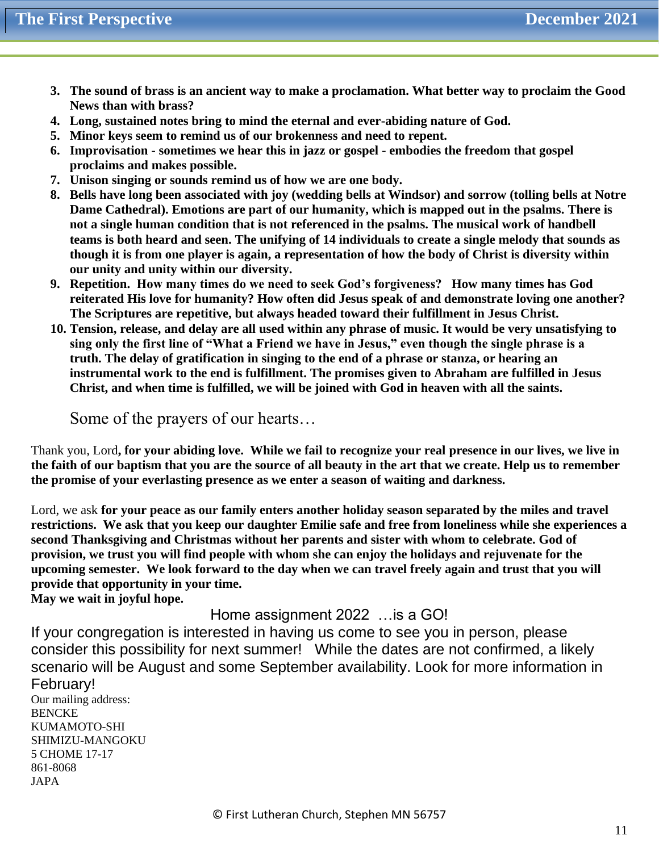- **3. The sound of brass is an ancient way to make a proclamation. What better way to proclaim the Good News than with brass?**
- **4. Long, sustained notes bring to mind the eternal and ever-abiding nature of God.**
- **5. Minor keys seem to remind us of our brokenness and need to repent.**
- **6. Improvisation - sometimes we hear this in jazz or gospel - embodies the freedom that gospel proclaims and makes possible.**
- **7. Unison singing or sounds remind us of how we are one body.**
- **8. Bells have long been associated with joy (wedding bells at Windsor) and sorrow (tolling bells at Notre Dame Cathedral). Emotions are part of our humanity, which is mapped out in the psalms. There is not a single human condition that is not referenced in the psalms. The musical work of handbell teams is both heard and seen. The unifying of 14 individuals to create a single melody that sounds as though it is from one player is again, a representation of how the body of Christ is diversity within our unity and unity within our diversity.**
- **9. Repetition. How many times do we need to seek God's forgiveness? How many times has God reiterated His love for humanity? How often did Jesus speak of and demonstrate loving one another? The Scriptures are repetitive, but always headed toward their fulfillment in Jesus Christ.**
- **10. Tension, release, and delay are all used within any phrase of music. It would be very unsatisfying to sing only the first line of "What a Friend we have in Jesus," even though the single phrase is a truth. The delay of gratification in singing to the end of a phrase or stanza, or hearing an instrumental work to the end is fulfillment. The promises given to Abraham are fulfilled in Jesus Christ, and when time is fulfilled, we will be joined with God in heaven with all the saints.**

Some of the prayers of our hearts…

Thank you, Lord**, for your abiding love. While we fail to recognize your real presence in our lives, we live in the faith of our baptism that you are the source of all beauty in the art that we create. Help us to remember the promise of your everlasting presence as we enter a season of waiting and darkness.** 

Lord, we ask **for your peace as our family enters another holiday season separated by the miles and travel restrictions. We ask that you keep our daughter Emilie safe and free from loneliness while she experiences a second Thanksgiving and Christmas without her parents and sister with whom to celebrate. God of provision, we trust you will find people with whom she can enjoy the holidays and rejuvenate for the upcoming semester. We look forward to the day when we can travel freely again and trust that you will provide that opportunity in your time.** 

**May we wait in joyful hope.**

Home assignment 2022 …is a GO!

If your congregation is interested in having us come to see you in person, please consider this possibility for next summer! While the dates are not confirmed, a likely scenario will be August and some September availability. Look for more information in February!

Our mailing address: **BENCKE** KUMAMOTO-SHI SHIMIZU-MANGOKU 5 CHOME 17-17 861-8068 JAPA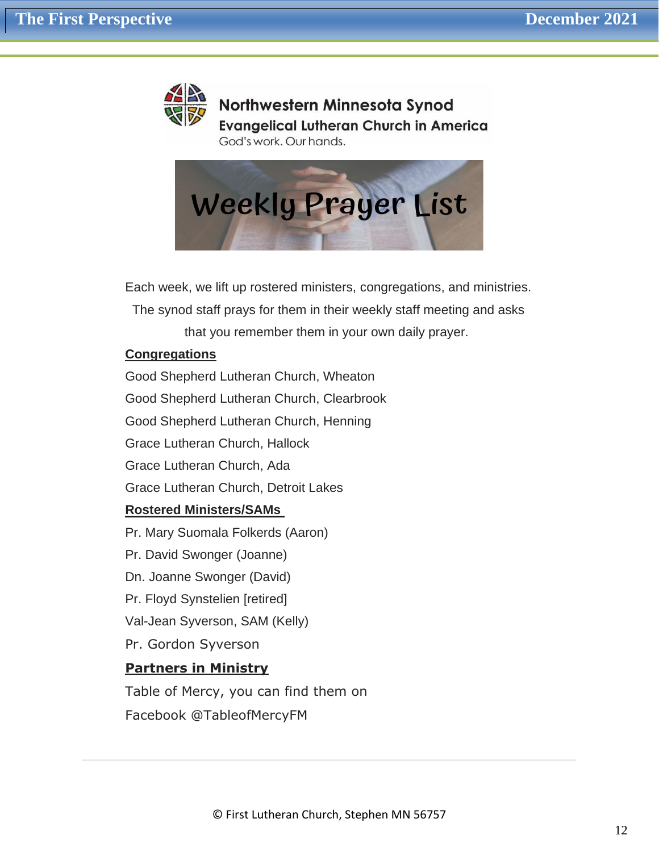

Northwestern Minnesota Synod **Evangelical Lutheran Church in America** God's work. Our hands.



Each week, we lift up rostered ministers, congregations, and ministries.

The synod staff prays for them in their weekly staff meeting and asks

that you remember them in your own daily prayer.

## **Congregations**

Good Shepherd Lutheran Church, Wheaton

Good Shepherd Lutheran Church, Clearbrook

Good Shepherd Lutheran Church, Henning

Grace Lutheran Church, Hallock

Grace Lutheran Church, Ada

Grace Lutheran Church, Detroit Lakes

## **Rostered Ministers/SAMs**

Pr. Mary Suomala Folkerds (Aaron) Pr. David Swonger (Joanne) Dn. Joanne Swonger (David) Pr. Floyd Synstelien [retired] Val-Jean Syverson, SAM (Kelly) Pr. Gordon Syverson **Partners in Ministry**

Table of Mercy, you can find them on Facebook @TableofMercyFM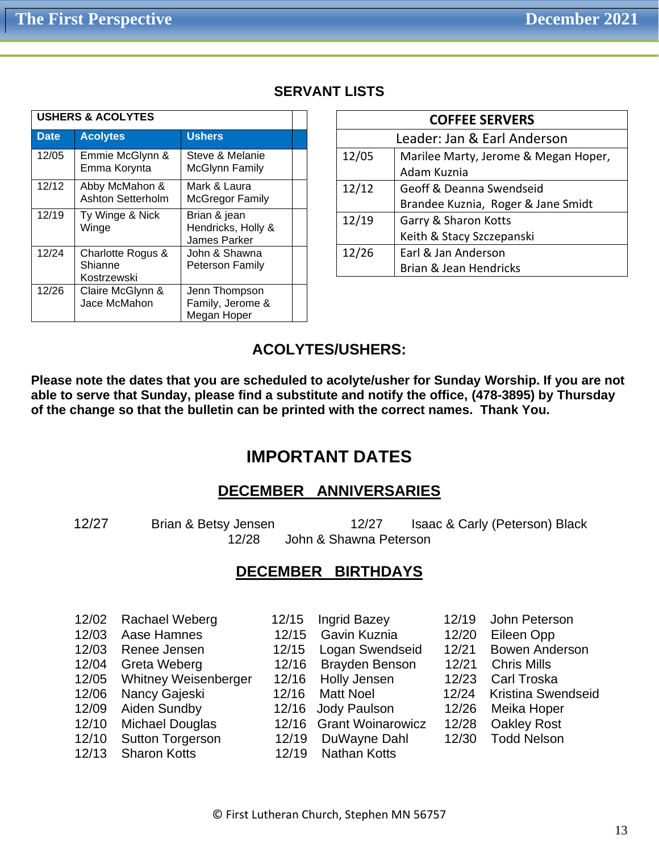| <b>USHERS &amp; ACOLYTES</b> |                                             |                                                    |  |
|------------------------------|---------------------------------------------|----------------------------------------------------|--|
| <b>Date</b>                  | <b>Acolytes</b>                             | <b>Ushers</b>                                      |  |
| 12/05                        | Emmie McGlynn &<br>Emma Korynta             | Steve & Melanie<br><b>McGlynn Family</b>           |  |
| 12/12                        | Abby McMahon &<br>Ashton Setterholm         | Mark & Laura<br><b>McGregor Family</b>             |  |
| 12/19                        | Ty Winge & Nick<br>Winge                    | Brian & jean<br>Hendricks, Holly &<br>James Parker |  |
| 12/24                        | Charlotte Rogus &<br>Shianne<br>Kostrzewski | John & Shawna<br>Peterson Family                   |  |
| 12/26                        | Claire McGlynn &<br>Jace McMahon            | Jenn Thompson<br>Family, Jerome &<br>Megan Hoper   |  |

# **SERVANT LISTS**

| <b>COFFEE SERVERS</b>       |                                      |  |  |  |
|-----------------------------|--------------------------------------|--|--|--|
| Leader: Jan & Earl Anderson |                                      |  |  |  |
| 12/05                       | Marilee Marty, Jerome & Megan Hoper, |  |  |  |
|                             | Adam Kuznia                          |  |  |  |
| 12/12                       | Geoff & Deanna Swendseid             |  |  |  |
|                             | Brandee Kuznia, Roger & Jane Smidt   |  |  |  |
| 12/19                       | Garry & Sharon Kotts                 |  |  |  |
|                             | Keith & Stacy Szczepanski            |  |  |  |
| 12/26                       | Earl & Jan Anderson                  |  |  |  |
|                             | Brian & Jean Hendricks               |  |  |  |

# **ACOLYTES/USHERS:**

**Please note the dates that you are scheduled to acolyte/usher for Sunday Worship. If you are not able to serve that Sunday, please find a substitute and notify the office, (478-3895) by Thursday of the change so that the bulletin can be printed with the correct names. Thank You.**

# **IMPORTANT DATES**

# **DECEMBER ANNIVERSARIES**

 12/27 Brian & Betsy Jensen 12/27 Isaac & Carly (Peterson) Black 12/28 John & Shawna Peterson

# **DECEMBER BIRTHDAYS**

| 12/02 | <b>Rachael Weberg</b>       | 12/15 | <b>Ingrid Bazey</b>      | 12/19 | John Peterson             |
|-------|-----------------------------|-------|--------------------------|-------|---------------------------|
| 12/03 | Aase Hamnes                 | 12/15 | Gavin Kuznia             | 12/20 | Eileen Opp                |
| 12/03 | Renee Jensen                | 12/15 | Logan Swendseid          | 12/21 | <b>Bowen Anderson</b>     |
| 12/04 | Greta Weberg                | 12/16 | <b>Brayden Benson</b>    | 12/21 | <b>Chris Mills</b>        |
| 12/05 | <b>Whitney Weisenberger</b> | 12/16 | <b>Holly Jensen</b>      | 12/23 | <b>Carl Troska</b>        |
| 12/06 | Nancy Gajeski               | 12/16 | <b>Matt Noel</b>         | 12/24 | <b>Kristina Swendseid</b> |
| 12/09 | Aiden Sundby                | 12/16 | Jody Paulson             | 12/26 | Meika Hoper               |
| 12/10 | Michael Douglas             | 12/16 | <b>Grant Woinarowicz</b> | 12/28 | <b>Oakley Rost</b>        |
| 12/10 | <b>Sutton Torgerson</b>     | 12/19 | DuWayne Dahl             | 12/30 | <b>Todd Nelson</b>        |
| 12/13 | <b>Sharon Kotts</b>         | 12/19 | <b>Nathan Kotts</b>      |       |                           |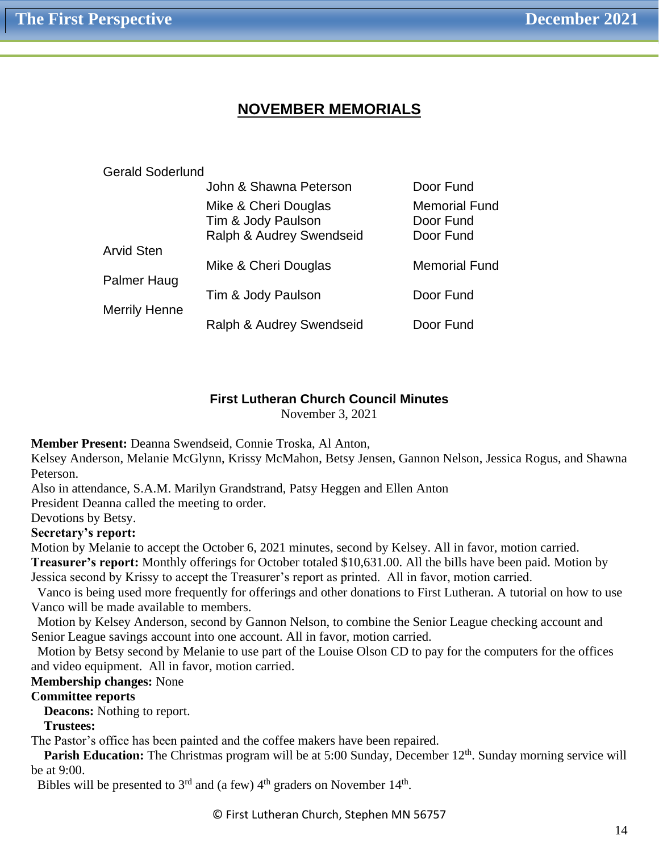# **NOVEMBER MEMORIALS**

| <b>Gerald Soderlund</b> |                                                                        |                                                |  |
|-------------------------|------------------------------------------------------------------------|------------------------------------------------|--|
|                         | John & Shawna Peterson                                                 | Door Fund                                      |  |
|                         | Mike & Cheri Douglas<br>Tim & Jody Paulson<br>Ralph & Audrey Swendseid | <b>Memorial Fund</b><br>Door Fund<br>Door Fund |  |
| <b>Arvid Sten</b>       | Mike & Cheri Douglas                                                   | <b>Memorial Fund</b>                           |  |
| Palmer Haug             | Tim & Jody Paulson                                                     | Door Fund                                      |  |
| <b>Merrily Henne</b>    | Ralph & Audrey Swendseid                                               | Door Fund                                      |  |

#### **First Lutheran Church Council Minutes**

November 3, 2021

**Member Present:** Deanna Swendseid, Connie Troska, Al Anton,

Kelsey Anderson, Melanie McGlynn, Krissy McMahon, Betsy Jensen, Gannon Nelson, Jessica Rogus, and Shawna Peterson.

Also in attendance, S.A.M. Marilyn Grandstrand, Patsy Heggen and Ellen Anton

President Deanna called the meeting to order.

Devotions by Betsy.

#### **Secretary's report:**

Motion by Melanie to accept the October 6, 2021 minutes, second by Kelsey. All in favor, motion carried. **Treasurer's report:** Monthly offerings for October totaled \$10,631.00. All the bills have been paid. Motion by Jessica second by Krissy to accept the Treasurer's report as printed. All in favor, motion carried.

 Vanco is being used more frequently for offerings and other donations to First Lutheran. A tutorial on how to use Vanco will be made available to members.

 Motion by Kelsey Anderson, second by Gannon Nelson, to combine the Senior League checking account and Senior League savings account into one account. All in favor, motion carried.

 Motion by Betsy second by Melanie to use part of the Louise Olson CD to pay for the computers for the offices and video equipment. All in favor, motion carried.

**Membership changes:** None

## **Committee reports**

 **Deacons:** Nothing to report.

 **Trustees:** 

The Pastor's office has been painted and the coffee makers have been repaired.

**Parish Education:** The Christmas program will be at 5:00 Sunday, December 12<sup>th</sup>. Sunday morning service will be at 9:00.

Bibles will be presented to  $3<sup>rd</sup>$  and (a few)  $4<sup>th</sup>$  graders on November  $14<sup>th</sup>$ .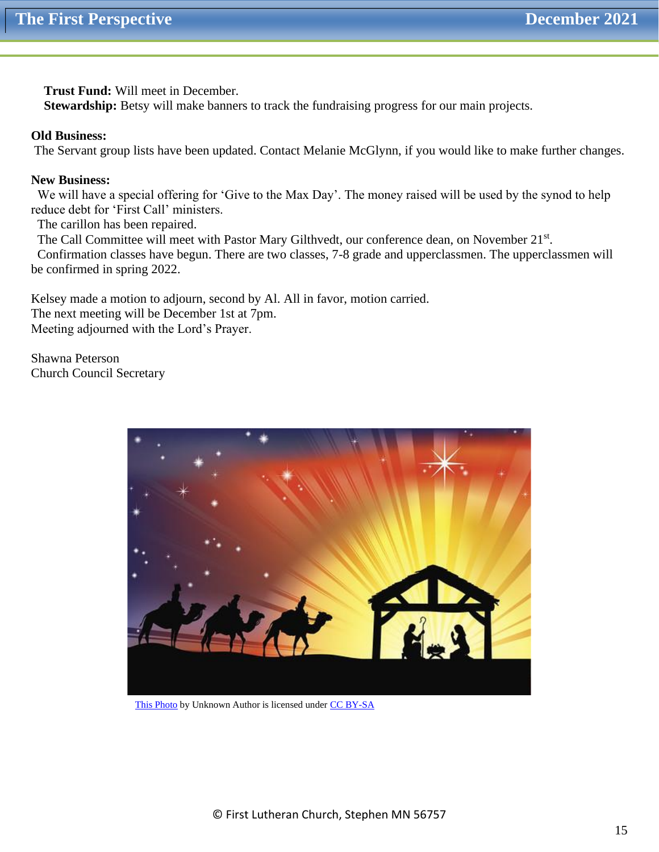**Trust Fund:** Will meet in December.

**Stewardship:** Betsy will make banners to track the fundraising progress for our main projects.

#### **Old Business:**

The Servant group lists have been updated. Contact Melanie McGlynn, if you would like to make further changes.

#### **New Business:**

 We will have a special offering for 'Give to the Max Day'. The money raised will be used by the synod to help reduce debt for 'First Call' ministers.

The carillon has been repaired.

The Call Committee will meet with Pastor Mary Gilthvedt, our conference dean, on November 21st.

 Confirmation classes have begun. There are two classes, 7-8 grade and upperclassmen. The upperclassmen will be confirmed in spring 2022.

Kelsey made a motion to adjourn, second by Al. All in favor, motion carried. The next meeting will be December 1st at 7pm. Meeting adjourned with the Lord's Prayer.

Shawna Peterson Church Council Secretary



[This Photo](https://www.flickr.com/photos/johndillon77/23651971910) by Unknown Author is licensed unde[r CC BY-SA](https://creativecommons.org/licenses/by-sa/3.0/)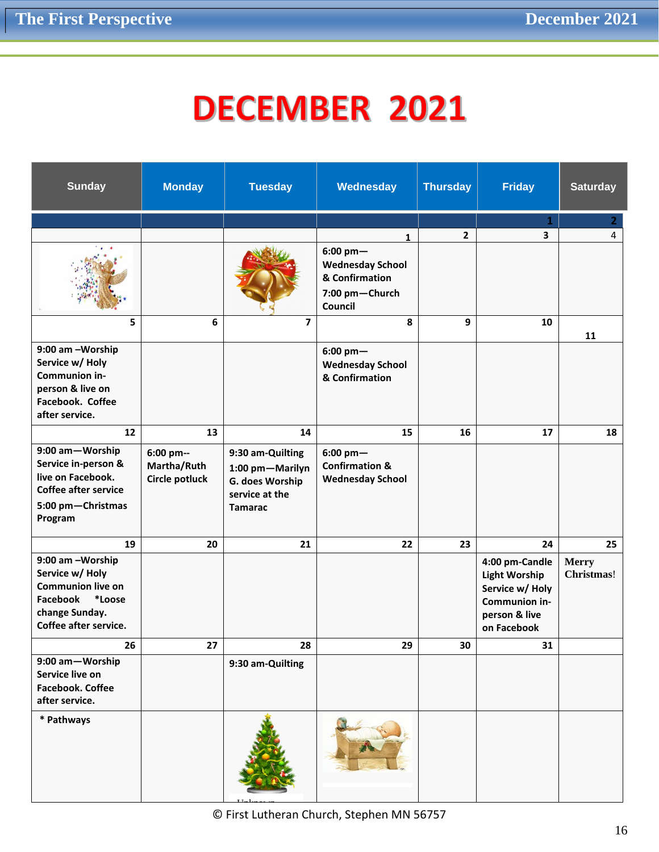# **DECEMBER 2021**

| <b>Sunday</b>                                                                                                                    | <b>Monday</b>                              | <b>Tuesday</b>                                                                             | Wednesday                                                                            | <b>Thursday</b> | <b>Friday</b>                                                                                              | <b>Saturday</b>            |
|----------------------------------------------------------------------------------------------------------------------------------|--------------------------------------------|--------------------------------------------------------------------------------------------|--------------------------------------------------------------------------------------|-----------------|------------------------------------------------------------------------------------------------------------|----------------------------|
|                                                                                                                                  |                                            |                                                                                            |                                                                                      |                 | $\mathbf{1}$                                                                                               | $\mathbf{2}$               |
|                                                                                                                                  |                                            |                                                                                            | 1                                                                                    | $\mathbf{2}$    | 3                                                                                                          | 4                          |
|                                                                                                                                  |                                            |                                                                                            | $6:00~pm-$<br><b>Wednesday School</b><br>& Confirmation<br>7:00 pm-Church<br>Council |                 |                                                                                                            |                            |
| 5                                                                                                                                | 6                                          | $\overline{7}$                                                                             | 8                                                                                    | 9               | 10                                                                                                         | 11                         |
| 9:00 am -Worship<br>Service w/ Holy<br>Communion in-<br>person & live on<br>Facebook. Coffee<br>after service.                   |                                            |                                                                                            | $6:00$ pm $-$<br><b>Wednesday School</b><br>& Confirmation                           |                 |                                                                                                            |                            |
| 12                                                                                                                               | 13                                         | 14                                                                                         | 15                                                                                   | 16              | 17                                                                                                         | 18                         |
| 9:00 am-Worship<br>Service in-person &<br>live on Facebook.<br><b>Coffee after service</b><br>5:00 pm-Christmas<br>Program       | 6:00 pm--<br>Martha/Ruth<br>Circle potluck | 9:30 am-Quilting<br>1:00 pm-Marilyn<br>G. does Worship<br>service at the<br><b>Tamarac</b> | $6:00$ pm $-$<br><b>Confirmation &amp;</b><br><b>Wednesday School</b>                |                 |                                                                                                            |                            |
| 19                                                                                                                               | 20                                         | 21                                                                                         | 22                                                                                   | 23              | 24                                                                                                         | 25                         |
| 9:00 am -Worship<br>Service w/ Holy<br><b>Communion live on</b><br>Facebook<br>*Loose<br>change Sunday.<br>Coffee after service. |                                            |                                                                                            |                                                                                      |                 | 4:00 pm-Candle<br><b>Light Worship</b><br>Service w/ Holy<br>Communion in-<br>person & live<br>on Facebook | <b>Merry</b><br>Christmas! |
| 26                                                                                                                               | 27                                         | 28                                                                                         | 29                                                                                   | $30\,$          | 31                                                                                                         |                            |
| 9:00 am-Worship<br>Service live on<br><b>Facebook. Coffee</b><br>after service.                                                  |                                            | 9:30 am-Quilting                                                                           |                                                                                      |                 |                                                                                                            |                            |
| * Pathways                                                                                                                       |                                            |                                                                                            |                                                                                      |                 |                                                                                                            |                            |

© First Lutheran Church, Stephen MN 56757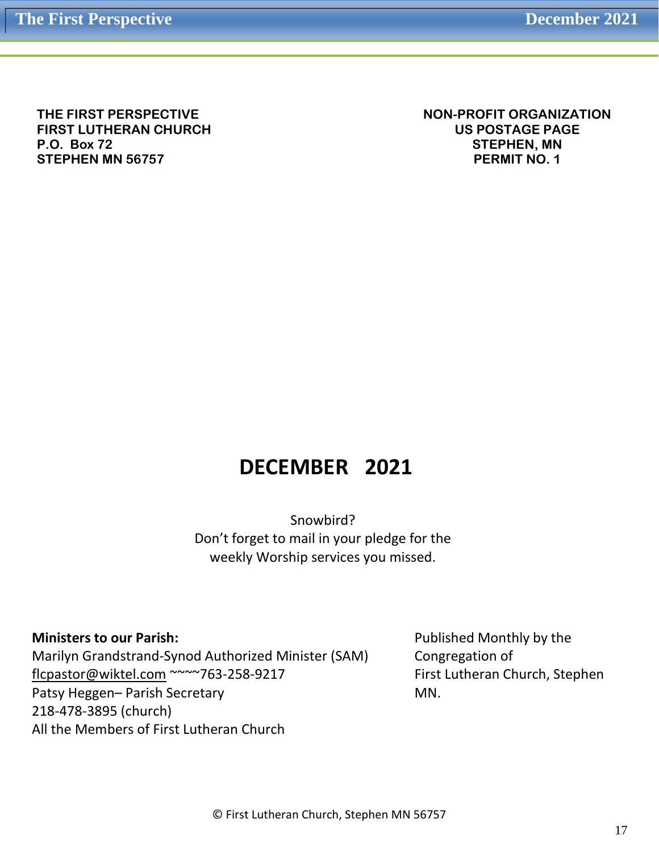**THE FIRST PERSPECTIVE FIRST LUTHERAN CHURCH P.O. Box 72 STEPHEN MN 56757**

**NON-PROFIT ORGANIZATION US POSTAGE PAGE STEPHEN, MN PERMIT NO. 1**

# **DECEMBER 2021**

Snowbird? Don't forget to mail in your pledge for the weekly Worship services you missed.

**Ministers to our Parish:**

Marilyn Grandstrand-Synod Authorized Minister (SAM) [flcpastor@wiktel.com](mailto:flcpastor@wiktel.com) ~~~~763-258-9217 Patsy Heggen– Parish Secretary 218-478-3895 (church) All the Members of First Lutheran Church

Published Monthly by the Congregation of First Lutheran Church, Stephen MN.